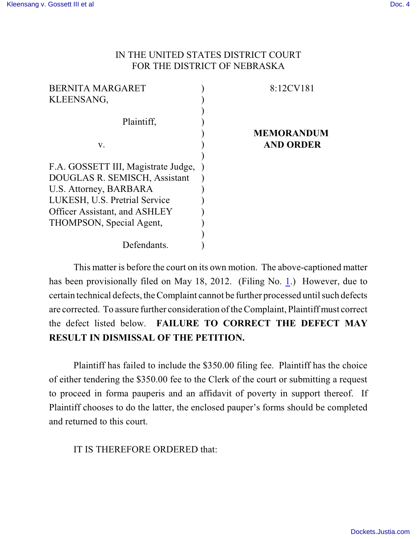## IN THE UNITED STATES DISTRICT COURT FOR THE DISTRICT OF NEBRASKA

| <b>BERNITA MARGARET</b>             | 8:12CV181         |
|-------------------------------------|-------------------|
| KLEENSANG,                          |                   |
|                                     |                   |
| Plaintiff,                          |                   |
|                                     | <b>MEMORANDUM</b> |
| V.                                  | <b>AND ORDER</b>  |
|                                     |                   |
| F.A. GOSSETT III, Magistrate Judge, |                   |
| DOUGLAS R. SEMISCH, Assistant       |                   |
| U.S. Attorney, BARBARA              |                   |
| LUKESH, U.S. Pretrial Service       |                   |
| Officer Assistant, and ASHLEY       |                   |
| THOMPSON, Special Agent,            |                   |
|                                     |                   |
| Defendants.                         |                   |
|                                     |                   |

This matter is before the court on its own motion. The above-captioned matter has been provisionally filed on May [1](http://ecf.ned.uscourts.gov/doc1/11302528645)8, 2012. (Filing No. 1.) However, due to certain technical defects, the Complaint cannot be further processed until such defects are corrected. To assure further consideration of the Complaint, Plaintiff must correct the defect listed below. **FAILURE TO CORRECT THE DEFECT MAY RESULT IN DISMISSAL OF THE PETITION.** 

Plaintiff has failed to include the \$350.00 filing fee. Plaintiff has the choice of either tendering the \$350.00 fee to the Clerk of the court or submitting a request to proceed in forma pauperis and an affidavit of poverty in support thereof. If Plaintiff chooses to do the latter, the enclosed pauper's forms should be completed and returned to this court.

IT IS THEREFORE ORDERED that: